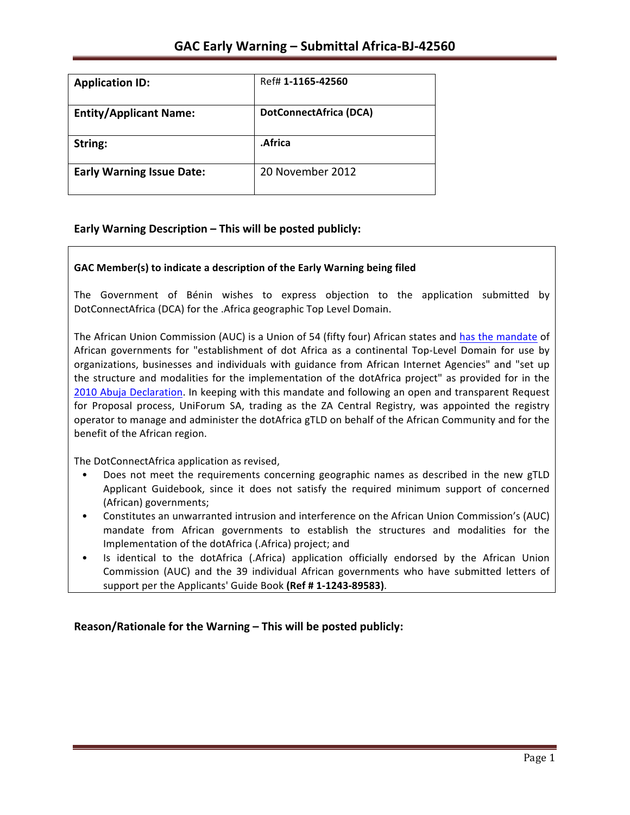| <b>Application ID:</b>           | Ref# 1-1165-42560             |
|----------------------------------|-------------------------------|
| <b>Entity/Applicant Name:</b>    | <b>DotConnectAfrica (DCA)</b> |
| String:                          | .Africa                       |
| <b>Early Warning Issue Date:</b> | 20 November 2012              |

### **Early Warning Description – This will be posted publicly:**

### GAC Member(s) to indicate a description of the Early Warning being filed

The Government of Bénin wishes to express objection to the application submitted by DotConnectAfrica (DCA) for the .Africa geographic Top Level Domain.

The African Union Commission (AUC) is a Union of 54 (fifty four) African states and has the mandate of African governments for "establishment of dot Africa as a continental Top-Level Domain for use by organizations, businesses and individuals with guidance from African Internet Agencies" and "set up the structure and modalities for the implementation of the dotAfrica project" as provided for in the 2010 Abuja Declaration. In keeping with this mandate and following an open and transparent Request for Proposal process, UniForum SA, trading as the ZA Central Registry, was appointed the registry operator to manage and administer the dotAfrica gTLD on behalf of the African Community and for the benefit of the African region.

The DotConnectAfrica application as revised,

- Does not meet the requirements concerning geographic names as described in the new gTLD Applicant Guidebook, since it does not satisfy the required minimum support of concerned (African) governments;
- Constitutes an unwarranted intrusion and interference on the African Union Commission's (AUC) mandate from African governments to establish the structures and modalities for the Implementation of the dotAfrica (.Africa) project; and
- Is identical to the dotAfrica (.Africa) application officially endorsed by the African Union Commission (AUC) and the 39 individual African governments who have submitted letters of support per the Applicants' Guide Book (Ref # 1-1243-89583).

**Reason/Rationale for the Warning – This will be posted publicly:**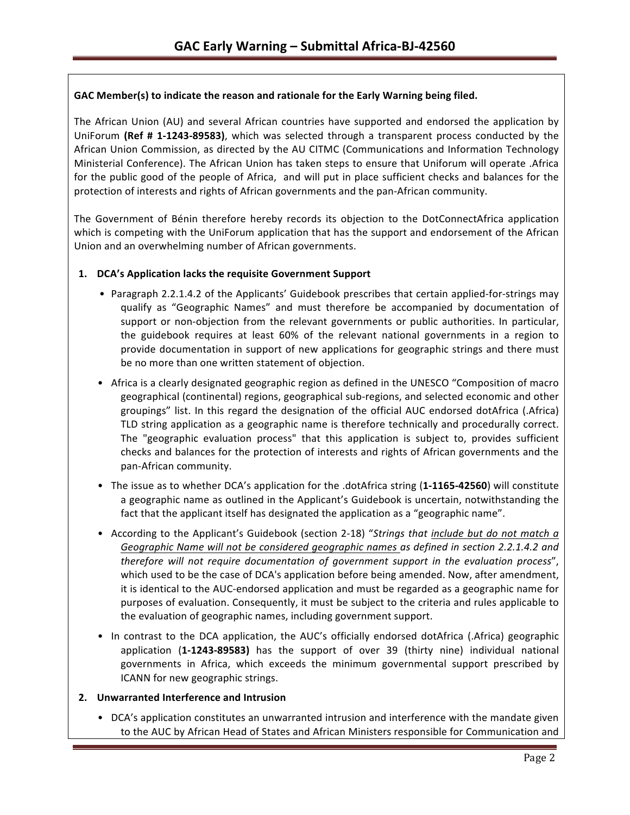### GAC Member(s) to indicate the reason and rationale for the Early Warning being filed.

The African Union (AU) and several African countries have supported and endorsed the application by UniForum (Ref # 1-1243-89583), which was selected through a transparent process conducted by the African Union Commission, as directed by the AU CITMC (Communications and Information Technology Ministerial Conference). The African Union has taken steps to ensure that Uniforum will operate .Africa for the public good of the people of Africa, and will put in place sufficient checks and balances for the protection of interests and rights of African governments and the pan-African community.

The Government of Bénin therefore hereby records its objection to the DotConnectAfrica application which is competing with the UniForum application that has the support and endorsement of the African Union and an overwhelming number of African governments.

### 1. **DCA's Application lacks the requisite Government Support**

- Paragraph 2.2.1.4.2 of the Applicants' Guidebook prescribes that certain applied-for-strings may qualify as "Geographic Names" and must therefore be accompanied by documentation of support or non-objection from the relevant governments or public authorities. In particular, the guidebook requires at least 60% of the relevant national governments in a region to provide documentation in support of new applications for geographic strings and there must be no more than one written statement of objection.
- Africa is a clearly designated geographic region as defined in the UNESCO "Composition of macro geographical (continental) regions, geographical sub-regions, and selected economic and other groupings" list. In this regard the designation of the official AUC endorsed dotAfrica (.Africa) TLD string application as a geographic name is therefore technically and procedurally correct. The "geographic evaluation process" that this application is subject to, provides sufficient checks and balances for the protection of interests and rights of African governments and the pan-African community.
- The issue as to whether DCA's application for the .dotAfrica string (1-1165-42560) will constitute a geographic name as outlined in the Applicant's Guidebook is uncertain, notwithstanding the fact that the applicant itself has designated the application as a "geographic name".
- According to the Applicant's Guidebook (section 2-18) "Strings that include but do not match a Geographic Name will not be considered geographic names as defined in section 2.2.1.4.2 and *therefore will not require documentation of government support in the evaluation process"*, which used to be the case of DCA's application before being amended. Now, after amendment, it is identical to the AUC-endorsed application and must be regarded as a geographic name for purposes of evaluation. Consequently, it must be subject to the criteria and rules applicable to the evaluation of geographic names, including government support.
- In contrast to the DCA application, the AUC's officially endorsed dotAfrica (.Africa) geographic application (1-1243-89583) has the support of over 39 (thirty nine) individual national governments in Africa, which exceeds the minimum governmental support prescribed by ICANN for new geographic strings.

### **2. Unwarranted Interference and Intrusion**

• DCA's application constitutes an unwarranted intrusion and interference with the mandate given to the AUC by African Head of States and African Ministers responsible for Communication and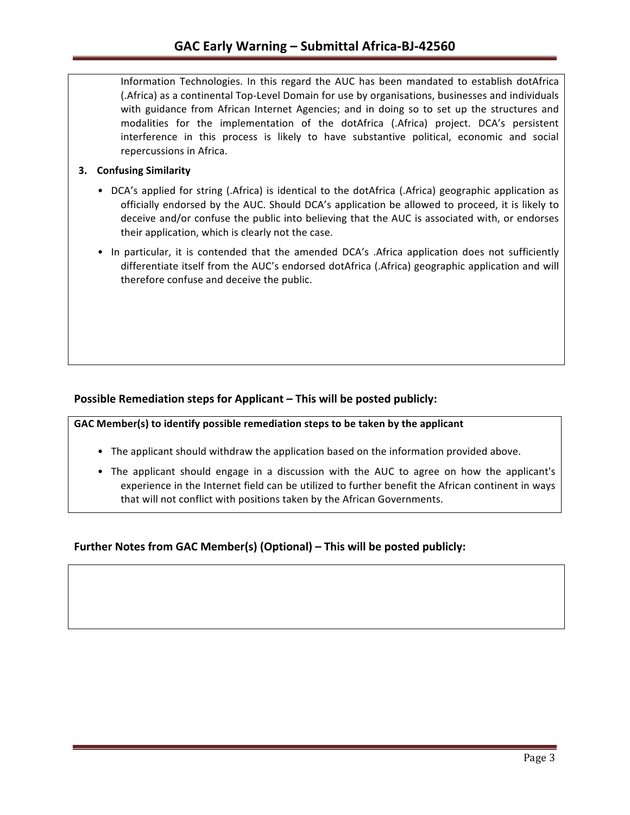Information Technologies. In this regard the AUC has been mandated to establish dotAfrica (.Africa) as a continental Top-Level Domain for use by organisations, businesses and individuals with guidance from African Internet Agencies; and in doing so to set up the structures and modalities for the implementation of the dotAfrica (.Africa) project. DCA's persistent interference in this process is likely to have substantive political, economic and social repercussions in Africa.

### **3.** Confusing Similarity

- DCA's applied for string (.Africa) is identical to the dotAfrica (.Africa) geographic application as officially endorsed by the AUC. Should DCA's application be allowed to proceed, it is likely to deceive and/or confuse the public into believing that the AUC is associated with, or endorses their application, which is clearly not the case.
- In particular, it is contended that the amended DCA's .Africa application does not sufficiently differentiate itself from the AUC's endorsed dotAfrica (.Africa) geographic application and will therefore confuse and deceive the public.

### **Possible Remediation steps for Applicant – This will be posted publicly:**

GAC Member(s) to identify possible remediation steps to be taken by the applicant

- The applicant should withdraw the application based on the information provided above.
- The applicant should engage in a discussion with the AUC to agree on how the applicant's experience in the Internet field can be utilized to further benefit the African continent in ways that will not conflict with positions taken by the African Governments.

## **Further Notes from GAC Member(s) (Optional) – This will be posted publicly:**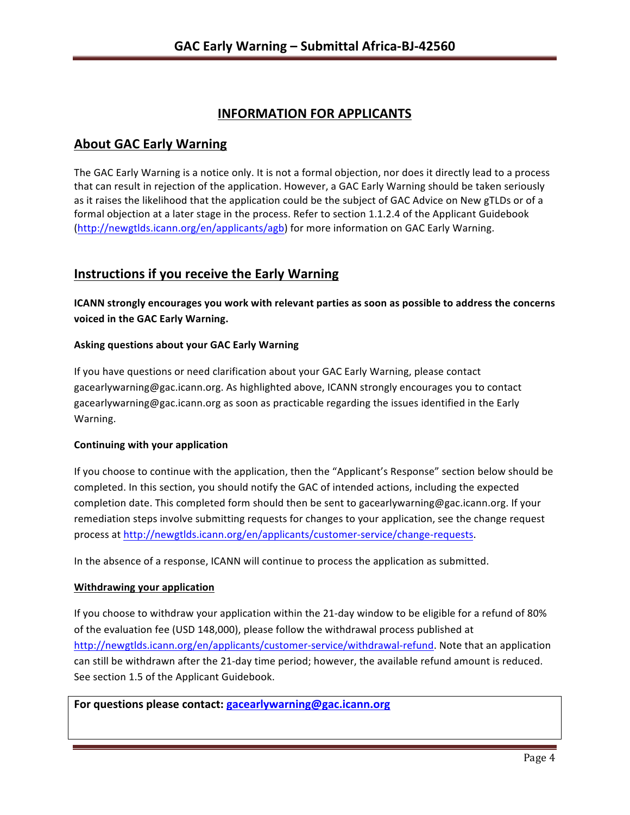# **INFORMATION FOR APPLICANTS**

## **About GAC Early Warning**

The GAC Early Warning is a notice only. It is not a formal objection, nor does it directly lead to a process that can result in rejection of the application. However, a GAC Early Warning should be taken seriously as it raises the likelihood that the application could be the subject of GAC Advice on New gTLDs or of a formal objection at a later stage in the process. Refer to section 1.1.2.4 of the Applicant Guidebook (http://newgtlds.icann.org/en/applicants/agb) for more information on GAC Early Warning.

## **Instructions if you receive the Early Warning**

**ICANN** strongly encourages you work with relevant parties as soon as possible to address the concerns **voiced in the GAC Early Warning.** 

### **Asking questions about your GAC Early Warning**

If you have questions or need clarification about your GAC Early Warning, please contact gacearlywarning@gac.icann.org. As highlighted above, ICANN strongly encourages you to contact gacearlywarning@gac.icann.org as soon as practicable regarding the issues identified in the Early Warning. 

### **Continuing with your application**

If you choose to continue with the application, then the "Applicant's Response" section below should be completed. In this section, you should notify the GAC of intended actions, including the expected completion date. This completed form should then be sent to gacearlywarning@gac.icann.org. If your remediation steps involve submitting requests for changes to your application, see the change request process at http://newgtlds.icann.org/en/applicants/customer-service/change-requests.

In the absence of a response, ICANN will continue to process the application as submitted.

#### **Withdrawing your application**

If you choose to withdraw your application within the 21-day window to be eligible for a refund of 80% of the evaluation fee (USD 148,000), please follow the withdrawal process published at http://newgtlds.icann.org/en/applicants/customer-service/withdrawal-refund. Note that an application can still be withdrawn after the 21-day time period; however, the available refund amount is reduced. See section 1.5 of the Applicant Guidebook.

For questions please contact: gacearlywarning@gac.icann.org